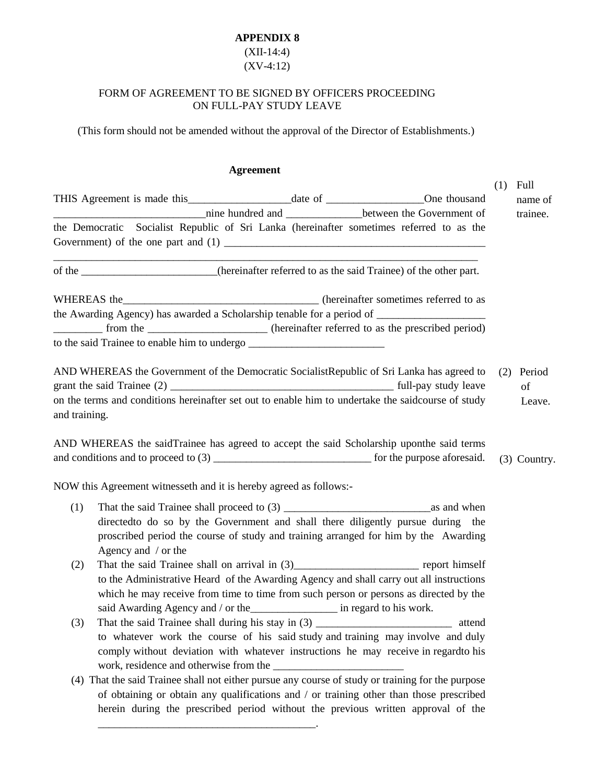## **APPENDIX 8**

## (XII-14:4) (XV-4:12)

## FORM OF AGREEMENT TO BE SIGNED BY OFFICERS PROCEEDING ON FULL-PAY STUDY LEAVE

(This form should not be amended without the approval of the Director of Establishments.)

## **Agreement**

|                                                                                                                                                                                                                                                                                  | $(1)$ Full                 |
|----------------------------------------------------------------------------------------------------------------------------------------------------------------------------------------------------------------------------------------------------------------------------------|----------------------------|
| nine hundred and ________________between the Government of                                                                                                                                                                                                                       | name of<br>trainee.        |
| the Democratic Socialist Republic of Sri Lanka (hereinafter sometimes referred to as the                                                                                                                                                                                         |                            |
| of the ______________________(hereinafter referred to as the said Trainee) of the other part.                                                                                                                                                                                    |                            |
|                                                                                                                                                                                                                                                                                  |                            |
|                                                                                                                                                                                                                                                                                  |                            |
| ___________ from the ________________________ (hereinafter referred to as the prescribed period)<br>to the said Trainee to enable him to undergo                                                                                                                                 |                            |
| AND WHEREAS the Government of the Democratic Socialist Republic of Sri Lanka has agreed to<br>on the terms and conditions hereinafter set out to enable him to undertake the saidcourse of study                                                                                 | (2) Period<br>of<br>Leave. |
| and training.                                                                                                                                                                                                                                                                    |                            |
| AND WHEREAS the saidTrainee has agreed to accept the said Scholarship uponthe said terms                                                                                                                                                                                         | (3) Country.               |
| NOW this Agreement witnesseth and it is hereby agreed as follows:-                                                                                                                                                                                                               |                            |
| (1)<br>directedto do so by the Government and shall there diligently pursue during the<br>proscribed period the course of study and training arranged for him by the Awarding<br>Agency and / or the                                                                             |                            |
| (2)<br>to the Administrative Heard of the Awarding Agency and shall carry out all instructions<br>which he may receive from time to time from such person or persons as directed by the<br>said Awarding Agency and / or the ___________________ in regard to his work.          |                            |
| That the said Trainee shall during his stay in (3) ______________________________<br>(3)<br>attend<br>to whatever work the course of his said study and training may involve and duly<br>comply without deviation with whatever instructions he may receive in regardto his      |                            |
| (4) That the said Trainee shall not either pursue any course of study or training for the purpose<br>of obtaining or obtain any qualifications and / or training other than those prescribed<br>herein during the prescribed period without the previous written approval of the |                            |

\_\_\_\_\_\_\_\_\_\_\_\_\_\_\_\_\_\_\_\_\_\_\_\_\_\_\_\_\_\_\_\_\_\_\_\_\_\_\_\_.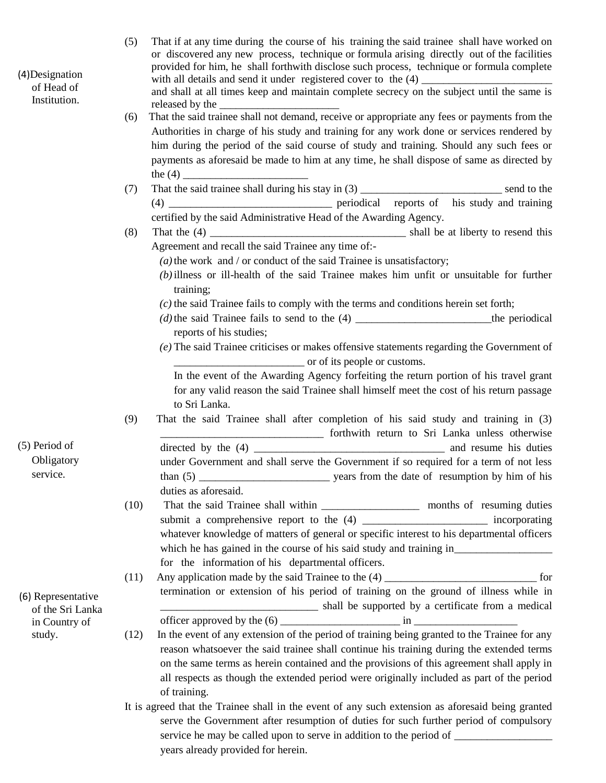| (4) Designation<br>of Head of          | That if at any time during the course of his training the said trainee shall have worked on<br>(5)<br>or discovered any new process, technique or formula arising directly out of the facilities<br>provided for him, he shall forthwith disclose such process, technique or formula complete |
|----------------------------------------|-----------------------------------------------------------------------------------------------------------------------------------------------------------------------------------------------------------------------------------------------------------------------------------------------|
| Institution.                           | and shall at all times keep and maintain complete secrecy on the subject until the same is<br>released by the                                                                                                                                                                                 |
|                                        | That the said trainee shall not demand, receive or appropriate any fees or payments from the<br>(6)                                                                                                                                                                                           |
|                                        | Authorities in charge of his study and training for any work done or services rendered by                                                                                                                                                                                                     |
|                                        | him during the period of the said course of study and training. Should any such fees or                                                                                                                                                                                                       |
|                                        | payments as aforesaid be made to him at any time, he shall dispose of same as directed by                                                                                                                                                                                                     |
|                                        |                                                                                                                                                                                                                                                                                               |
|                                        | (7)                                                                                                                                                                                                                                                                                           |
|                                        |                                                                                                                                                                                                                                                                                               |
|                                        | certified by the said Administrative Head of the Awarding Agency.                                                                                                                                                                                                                             |
|                                        | (8)                                                                                                                                                                                                                                                                                           |
|                                        | Agreement and recall the said Trainee any time of:-                                                                                                                                                                                                                                           |
|                                        | $(a)$ the work and / or conduct of the said Trainee is unsatisfactory;                                                                                                                                                                                                                        |
|                                        | (b) illness or ill-health of the said Trainee makes him unfit or unsuitable for further                                                                                                                                                                                                       |
|                                        | training;                                                                                                                                                                                                                                                                                     |
|                                        | $(c)$ the said Trainee fails to comply with the terms and conditions herein set forth;                                                                                                                                                                                                        |
|                                        |                                                                                                                                                                                                                                                                                               |
|                                        | reports of his studies;                                                                                                                                                                                                                                                                       |
|                                        | $(e)$ The said Trainee criticises or makes offensive statements regarding the Government of                                                                                                                                                                                                   |
|                                        | or of its people or customs.                                                                                                                                                                                                                                                                  |
|                                        | In the event of the Awarding Agency forfeiting the return portion of his travel grant                                                                                                                                                                                                         |
|                                        | for any valid reason the said Trainee shall himself meet the cost of his return passage<br>to Sri Lanka.                                                                                                                                                                                      |
|                                        | That the said Trainee shall after completion of his said study and training in (3)<br>(9)                                                                                                                                                                                                     |
|                                        | forthwith return to Sri Lanka unless otherwise                                                                                                                                                                                                                                                |
| (5) Period of                          |                                                                                                                                                                                                                                                                                               |
| Obligatory                             | under Government and shall serve the Government if so required for a term of not less                                                                                                                                                                                                         |
| service.                               |                                                                                                                                                                                                                                                                                               |
|                                        | duties as aforesaid.                                                                                                                                                                                                                                                                          |
|                                        | (10)                                                                                                                                                                                                                                                                                          |
|                                        | submit a comprehensive report to the (4) __________________________ incorporating                                                                                                                                                                                                             |
|                                        | whatever knowledge of matters of general or specific interest to his departmental officers                                                                                                                                                                                                    |
|                                        |                                                                                                                                                                                                                                                                                               |
|                                        | for the information of his departmental officers.                                                                                                                                                                                                                                             |
|                                        | (11)                                                                                                                                                                                                                                                                                          |
|                                        | termination or extension of his period of training on the ground of illness while in                                                                                                                                                                                                          |
| (6) Representative<br>of the Sri Lanka | shall be supported by a certificate from a medical                                                                                                                                                                                                                                            |
| in Country of                          |                                                                                                                                                                                                                                                                                               |
| study.                                 | In the event of any extension of the period of training being granted to the Trainee for any<br>(12)                                                                                                                                                                                          |
|                                        | reason whatsoever the said trainee shall continue his training during the extended terms                                                                                                                                                                                                      |
|                                        | on the same terms as herein contained and the provisions of this agreement shall apply in                                                                                                                                                                                                     |
|                                        | all respects as though the extended period were originally included as part of the period                                                                                                                                                                                                     |
|                                        | of training.                                                                                                                                                                                                                                                                                  |
|                                        | It is agreed that the Trainee shall in the event of any such extension as aforesaid being granted                                                                                                                                                                                             |
|                                        | serve the Government after resumption of duties for such further period of compulsory                                                                                                                                                                                                         |
|                                        |                                                                                                                                                                                                                                                                                               |
|                                        | years already provided for herein.                                                                                                                                                                                                                                                            |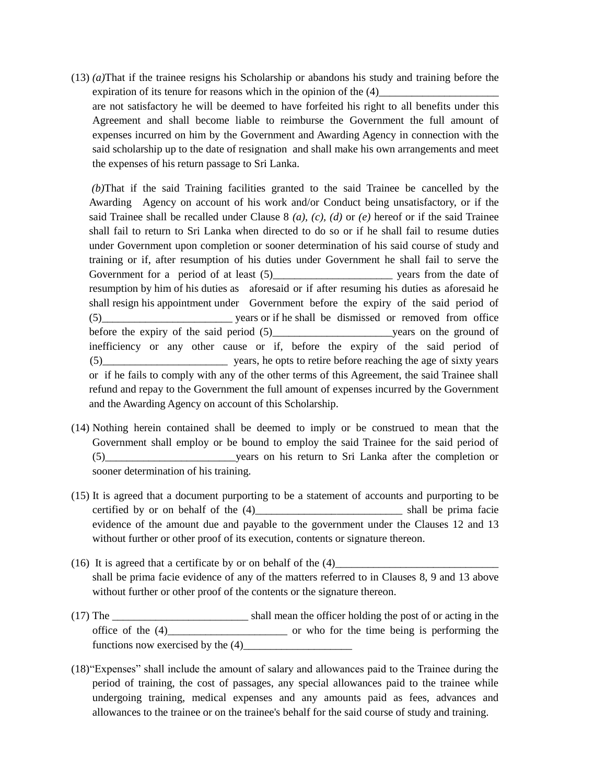(13) *(a)*That if the trainee resigns his Scholarship or abandons his study and training before the expiration of its tenure for reasons which in the opinion of the  $(4)$ are not satisfactory he will be deemed to have forfeited his right to all benefits under this Agreement and shall become liable to reimburse the Government the full amount of expenses incurred on him by the Government and Awarding Agency in connection with the

said scholarship up to the date of resignation and shall make his own arrangements and meet the expenses of his return passage to Sri Lanka. *(b)*That if the said Training facilities granted to the said Trainee be cancelled by the Awarding Agency on account of his work and/or Conduct being unsatisfactory, or if the said Trainee shall be recalled under Clause 8 *(a), (c), (d)* or *(e)* hereof or if the said Trainee shall fail to return to Sri Lanka when directed to do so or if he shall fail to resume duties under Government upon completion or sooner determination of his said course of study and training or if, after resumption of his duties under Government he shall fail to serve the Government for a period of at least (5) wears from the date of resumption by him of his duties as aforesaid or if after resuming his duties as aforesaid he shall resign his appointment under Government before the expiry of the said period of (5)\_\_\_\_\_\_\_\_\_\_\_\_\_\_\_\_\_\_\_\_\_\_\_\_ years or if he shall be dismissed or removed from office before the expiry of the said period (5)\_\_\_\_\_\_\_\_\_\_\_\_\_\_\_\_\_\_\_\_\_\_years on the ground of

inefficiency or any other cause or if, before the expiry of the said period of (5)\_\_\_\_\_\_\_\_\_\_\_\_\_\_\_\_\_\_\_\_\_\_\_ years, he opts to retire before reaching the age of sixty years or if he fails to comply with any of the other terms of this Agreement, the said Trainee shall refund and repay to the Government the full amount of expenses incurred by the Government and the Awarding Agency on account of this Scholarship.

- (14) Nothing herein contained shall be deemed to imply or be construed to mean that the Government shall employ or be bound to employ the said Trainee for the said period of (5)\_\_\_\_\_\_\_\_\_\_\_\_\_\_\_\_\_\_\_\_\_\_\_\_years on his return to Sri Lanka after the completion or sooner determination of his training.
- (15) It is agreed that a document purporting to be a statement of accounts and purporting to be certified by or on behalf of the (4)\_\_\_\_\_\_\_\_\_\_\_\_\_\_\_\_\_\_\_\_\_\_\_\_\_\_\_ shall be prima facie evidence of the amount due and payable to the government under the Clauses 12 and 13 without further or other proof of its execution, contents or signature thereon.
- (16) It is agreed that a certificate by or on behalf of the  $(4)$ shall be prima facie evidence of any of the matters referred to in Clauses 8, 9 and 13 above without further or other proof of the contents or the signature thereon.
- (17) The \_\_\_\_\_\_\_\_\_\_\_\_\_\_\_\_\_\_\_\_\_\_\_\_\_ shall mean the officer holding the post of or acting in the office of the (4)\_\_\_\_\_\_\_\_\_\_\_\_\_\_\_\_\_\_\_\_\_\_ or who for the time being is performing the functions now exercised by the  $(4)$
- (18)"Expenses" shall include the amount of salary and allowances paid to the Trainee during the period of training, the cost of passages, any special allowances paid to the trainee while undergoing training, medical expenses and any amounts paid as fees, advances and allowances to the trainee or on the trainee's behalf for the said course of study and training.